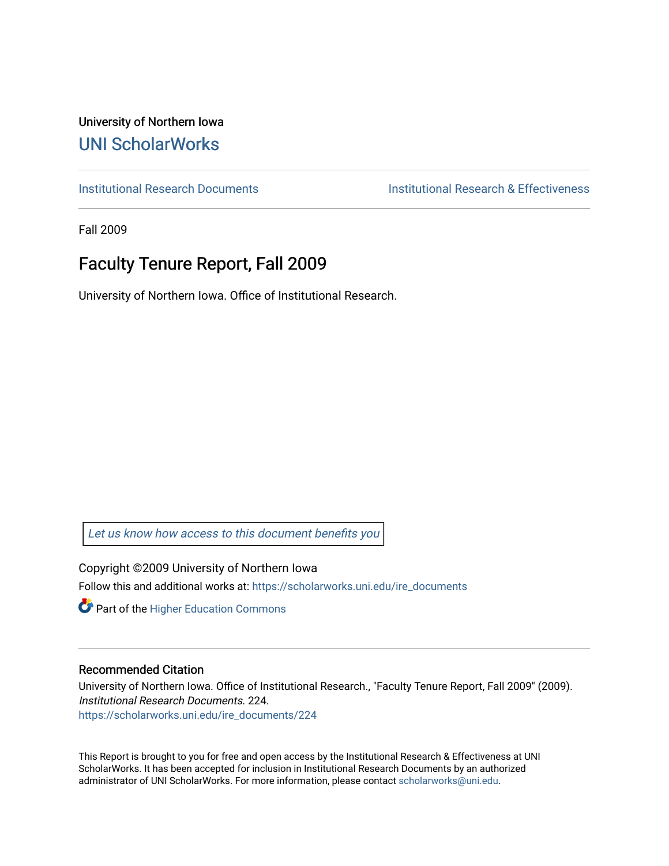University of Northern Iowa [UNI ScholarWorks](https://scholarworks.uni.edu/) 

[Institutional Research Documents](https://scholarworks.uni.edu/ire_documents) [Institutional Research & Effectiveness](https://scholarworks.uni.edu/ire) 

Fall 2009

# Faculty Tenure Report, Fall 2009

University of Northern Iowa. Office of Institutional Research.

[Let us know how access to this document benefits you](https://scholarworks.uni.edu/feedback_form.html) 

Copyright ©2009 University of Northern Iowa Follow this and additional works at: [https://scholarworks.uni.edu/ire\\_documents](https://scholarworks.uni.edu/ire_documents?utm_source=scholarworks.uni.edu%2Fire_documents%2F224&utm_medium=PDF&utm_campaign=PDFCoverPages) 

**Part of the Higher Education Commons** 

#### Recommended Citation

University of Northern Iowa. Office of Institutional Research., "Faculty Tenure Report, Fall 2009" (2009). Institutional Research Documents. 224. [https://scholarworks.uni.edu/ire\\_documents/224](https://scholarworks.uni.edu/ire_documents/224?utm_source=scholarworks.uni.edu%2Fire_documents%2F224&utm_medium=PDF&utm_campaign=PDFCoverPages) 

This Report is brought to you for free and open access by the Institutional Research & Effectiveness at UNI ScholarWorks. It has been accepted for inclusion in Institutional Research Documents by an authorized administrator of UNI ScholarWorks. For more information, please contact [scholarworks@uni.edu](mailto:scholarworks@uni.edu).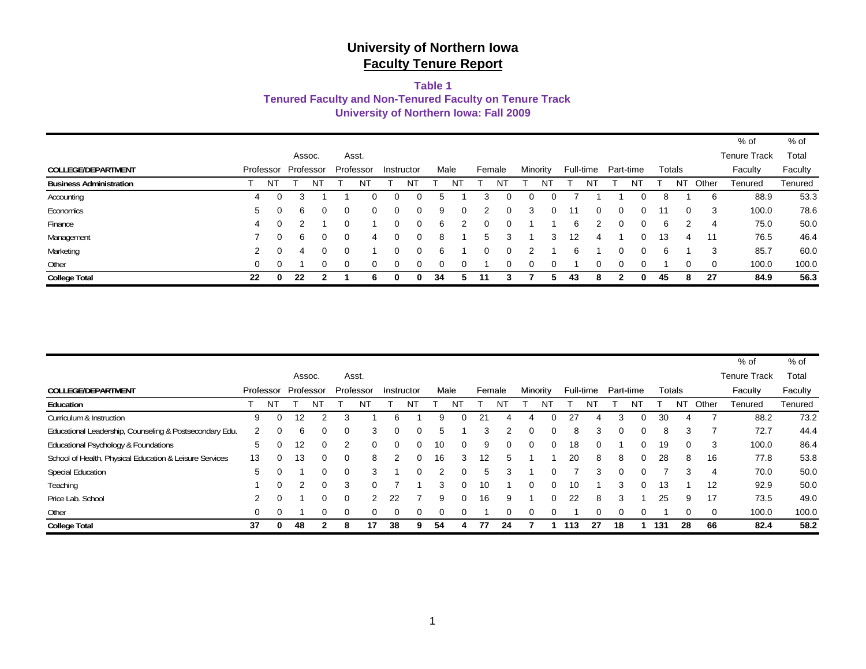#### **Table 1**

#### **Tenured Faculty and Non-Tenured Faculty on Tenure Track**

**University of Northern Iowa: Fall 2009**

|                                |    |           |                |           |          |           |            |          |    |      |          |    |          |          |    |           |   |           |    |          |          | $%$ of              | $%$ of  |
|--------------------------------|----|-----------|----------------|-----------|----------|-----------|------------|----------|----|------|----------|----|----------|----------|----|-----------|---|-----------|----|----------|----------|---------------------|---------|
|                                |    |           |                | Assoc.    |          | Asst.     |            |          |    |      |          |    |          |          |    |           |   |           |    |          |          | <b>Tenure Track</b> | Total   |
| <b>COLLEGE/DEPARTMENT</b>      |    | Professor |                | Professor |          | Professor | Instructor |          |    | Male | Female   |    |          | Minority |    | Full-time |   | Part-time |    | Totals   |          | Faculty             | Faculty |
| <b>Business Administration</b> |    | ΝT        |                | NT        |          | NT        |            |          |    |      |          | N٦ |          | NΤ       |    | N         |   | N         |    | NT       | Other    | Tenured             | Tenured |
| Accounting                     | 4  |           |                |           |          |           | 0          |          |    |      |          |    | O        |          |    |           |   |           | 8  |          | 6        | 88.9                | 53.3    |
| Economics                      | 5  | $\Omega$  | 6              | 0         | $\Omega$ | $\Omega$  | 0          | 0        | 9  | 0    | 2        | 0  | 3        | $\Omega$ | 11 | 0         | 0 | 0         | 11 | 0        | -3       | 100.0               | 78.6    |
| Finance                        | 4  | $\Omega$  |                |           |          |           | 0          | $\Omega$ | 6  | 2    | $\Omega$ | 0  |          |          | 6  | 2         |   | 0         | 6  |          | 4        | 75.0                | 50.0    |
| Management                     |    | $\Omega$  | 6              | 0         | 0        |           | 0          | 0        | 8  |      | 5        | 3  |          | 3        | 12 | 4         |   | 0         | 13 | 4        | 11       | 76.5                | 46.4    |
| Marketing                      | 2  | $\Omega$  | $\overline{4}$ | 0         | $\Omega$ |           | 0          | 0        | 6  |      | $\Omega$ | 0  |          |          | 6  |           |   | 0         | 6  |          | 3        | 85.7                | 60.0    |
| Other                          | 0  | $\Omega$  |                | 0         | $\Omega$ | $\Omega$  | 0          | $\Omega$ |    | 0    |          |    | $\Omega$ |          |    | 0         |   |           |    | $\Omega$ | $\Omega$ | 100.0               | 100.0   |
| <b>College Total</b>           | 22 | 0         | 22             | ຳ         |          |           | 0          | 0        | 34 |      | 11       |    |          |          | 43 | 8         |   | 0         | 45 | 8        | 27       | 84.9                | 56.3    |

|                                                         |    |                     |                |              |   |           |                |             |      |           |        |    |          |             |       |           |           |          |        |    |                | $%$ of              | % of    |
|---------------------------------------------------------|----|---------------------|----------------|--------------|---|-----------|----------------|-------------|------|-----------|--------|----|----------|-------------|-------|-----------|-----------|----------|--------|----|----------------|---------------------|---------|
|                                                         |    |                     | Assoc.         |              |   | Asst.     |                |             |      |           |        |    |          |             |       |           |           |          |        |    |                | <b>Tenure Track</b> | Total   |
| COLLEGE/DEPARTMENT                                      |    | Professor Professor |                |              |   | Professor | Instructor     |             | Male |           | Female |    | Minority |             |       | Full-time | Part-time |          | Totals |    |                | Faculty             | Faculty |
| Education                                               |    | NT.                 |                | <b>NT</b>    |   | NT        |                | NT          |      | <b>NT</b> |        | NT |          | NT          |       | NT        |           | NT       |        | NT | Other          | Tenured             | Tenured |
| Curriculum & Instruction                                | 9  | $\Omega$            | 12             | 2            | 3 |           | 6              |             | 9    | 0         | 21     |    |          | $\Omega$    | 27    |           | 3         |          | 30     |    |                | 88.2                | 73.2    |
| Educational Leadership, Counseling & Postsecondary Edu. | 2  | $\Omega$            | 6              | 0            | 0 | 3         | 0              | $\Omega$    | 5    |           | 3      | 2  | 0        | $\mathbf 0$ | 8     | 3         | 0         | 0        | 8      | 3  | 7              | 72.7                | 44.4    |
| Educational Psychology & Foundations                    | 5  | $\Omega$            | 12             | 0            | 2 | 0         | 0              | $\mathbf 0$ | 10   | 0         | 9      | 0  | 0        | $\mathbf 0$ | 18    | 0         |           | $\Omega$ | 19     | 0  | 3              | 100.0               | 86.4    |
| School of Health, Physical Education & Leisure Services | 13 | $\Omega$            | 13             | 0            | 0 | 8         | $\overline{2}$ | $\mathbf 0$ | 16   | 3         | 12     | 5  |          |             | 20    | 8         | 8         | 0        | 28     | 8  | 16             | 77.8                | 53.8    |
| <b>Special Education</b>                                | 5  | $\Omega$            |                | 0            | 0 | 3         |                | $\Omega$    | 2    | 0         | 5      | 3  |          | $\Omega$    |       | 3         | 0         | $\Omega$ | 7      | 3  | $\overline{4}$ | 70.0                | 50.0    |
| Teaching                                                |    | 0                   | $\overline{2}$ | 0            | 3 | 0         |                |             | 3    | 0         | 10     |    | 0        | $\mathbf 0$ | 10    |           | 3         | 0        | 13     |    | 12             | 92.9                | 50.0    |
| Price Lab. School                                       | 2  | 0                   |                | 0            | 0 | 2         | 22             |             | 9    | 0         | 16     | 9  |          | 0           | 22    | 8         | 3         |          | 25     | 9  | 17             | 73.5                | 49.0    |
| Other                                                   | 0  | 0                   |                | 0            | 0 | 0         | 0              | 0           | 0    | 0         |        | 0  | 0        | 0           |       | 0         | 0         | 0        |        | 0  | 0              | 100.0               | 100.0   |
| <b>College Total</b>                                    | 37 | 0                   | 48             | $\mathbf{2}$ | 8 | 17        | 38             | 9           | 54   | 4         | 77     | 24 |          |             | 1 113 | 27        | 18        |          | 1 131  | 28 | 66             | 82.4                | 58.2    |
|                                                         |    |                     |                |              |   |           |                |             |      |           |        |    |          |             |       |           |           |          |        |    |                |                     |         |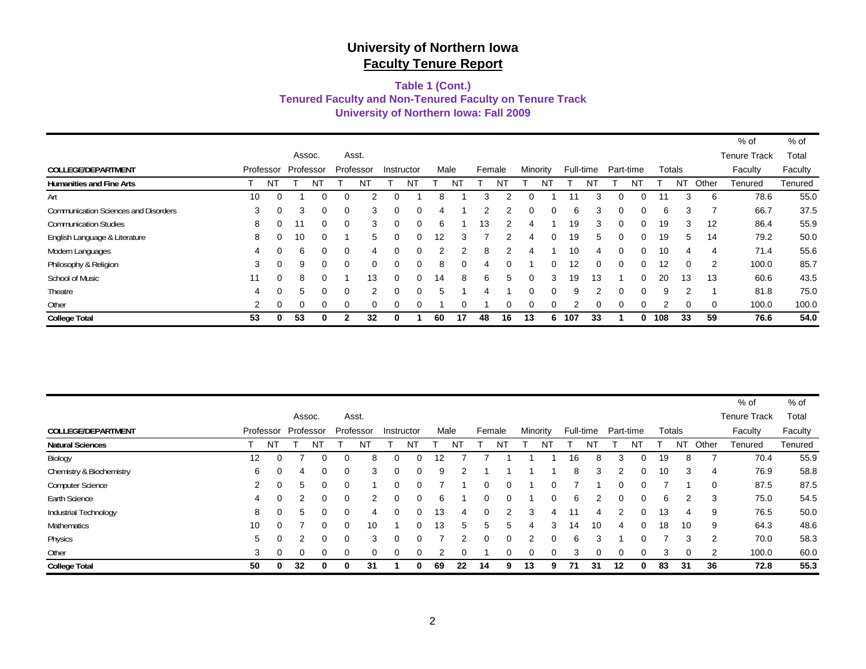#### **University of Northern Iowa: Fall 2009 Tenured Faculty and Non-Tenured Faculty on Tenure Track Table 1 (Cont.)**

|                                             |    |           |          |           |          |               |          |            |      |    |        |          |          |          |                   |            |           |          |     |          |          | % of                | % of    |
|---------------------------------------------|----|-----------|----------|-----------|----------|---------------|----------|------------|------|----|--------|----------|----------|----------|-------------------|------------|-----------|----------|-----|----------|----------|---------------------|---------|
|                                             |    |           |          | Assoc.    |          | Asst.         |          |            |      |    |        |          |          |          |                   |            |           |          |     |          |          | <b>Tenure Track</b> | Total   |
| <b>COLLEGE/DEPARTMENT</b>                   |    | Professor |          | Professor |          | Professor     |          | Instructor | Male |    | Female |          | Minority |          | Full-time         |            | Part-time |          |     | Totals   |          | Faculty             | Faculty |
| <b>Humanities and Fine Arts</b>             |    | NT        |          | N1        |          | N             |          | NĪ         |      | N  |        |          |          | N1       |                   | N٦         |           |          |     | N1       | Other    | Tenured             | Tenured |
| Art                                         | 10 | 0         |          |           | 0        |               |          |            | 8    |    | 3      |          |          |          | 11                |            |           |          |     | 3        | 6        | 78.6                | 55.0    |
| <b>Communication Sciences and Disorders</b> | 3  | $\Omega$  | 3        |           | $\Omega$ | 3             |          | $\Omega$   | 4    |    | っ      |          | 0        | $\Omega$ | 6                 | 3          | $\Omega$  | $\Omega$ | 6   | 3        | 7        | 66.7                | 37.5    |
| <b>Communication Studies</b>                | 8  | $\Omega$  | 11       | 0         | $\Omega$ | 3             | 0        | $\Omega$   | 6    |    | 13     |          | 4        |          | 19                | 3          | $\Omega$  | $\Omega$ | 19  | 3        | 12       | 86.4                | 55.9    |
| English Language & Literature               | 8  | $\Omega$  | 10       |           |          | 5             | 0        | $\Omega$   | 12   | 3  |        |          | 4        | $\Omega$ | 19                | 5          | $\Omega$  | $\Omega$ | 19  | 5        | 14       | 79.2                | 50.0    |
| Modern Languages                            | 4  | $\Omega$  | 6        |           | $\Omega$ | 4             |          | 0          | 2    | 2  | 8      |          |          |          | 10                | 4          | $\Omega$  | $\Omega$ | 10  | 4        | 4        | 71.4                | 55.6    |
| Philosophy & Religion                       | 3  | $\Omega$  | 9        | 0         | $\Omega$ | $\Omega$      | 0        | $\Omega$   | 8    | 0  | 4      | $\Omega$ |          | $\Omega$ | $12 \overline{ }$ | 0          | $\Omega$  | $\Omega$ | 12  | $\Omega$ | 2        | 100.0               | 85.7    |
| School of Music                             | 11 | $\Omega$  | 8        |           |          | 13            | $\Omega$ | $\Omega$   | 14   | 8  | 6      | 5        | 0        | 3        | 19                | 13         |           | $\Omega$ | 20  | 13       | 13       | 60.6                | 43.5    |
| Theatre                                     | 4  | $\Omega$  | 5        |           | $\Omega$ | $\mathcal{P}$ |          | 0          | 5    |    | 4      |          | n        | $\Omega$ | 9                 | $\sqrt{2}$ | $\Omega$  | $\Omega$ | 9   | 2        |          | 81.8                | 75.0    |
| Other                                       | 2  | $\Omega$  | $\Omega$ |           | $\Omega$ | $\Omega$      |          | $\Omega$   |      | 0  |        | $\Omega$ |          | $\Omega$ |                   |            | $\Omega$  | $\Omega$ |     | $\Omega$ | $\Omega$ | 100.0               | 100.0   |
| <b>College Total</b>                        | 53 | 0         | 53       |           |          | 32            | 0        |            | 60   | 17 | 48     | 16       | 13       | 6.       | 107               | 33         |           |          | 108 | 33       | 59       | 76.6                | 54.0    |

|                           |                   |           |    |           |          |               |          |            |      |    |        |          |    |          |    |           |    |           |    |        |       | % of                | % of    |
|---------------------------|-------------------|-----------|----|-----------|----------|---------------|----------|------------|------|----|--------|----------|----|----------|----|-----------|----|-----------|----|--------|-------|---------------------|---------|
|                           |                   |           |    | Assoc.    |          | Asst.         |          |            |      |    |        |          |    |          |    |           |    |           |    |        |       | <b>Tenure Track</b> | Total   |
| <b>COLLEGE/DEPARTMENT</b> |                   | Professor |    | Professor |          | Professor     |          | Instructor | Male |    | Female |          |    | Minority |    | Full-time |    | Part-time |    | Totals |       | Faculty             | Faculty |
| <b>Natural Sciences</b>   |                   | NT        |    | N٦        |          | NT            |          | NT         |      | NT |        | N1       |    | ΝĪ       |    | NT        |    | NT        |    | N1     | Other | Tenured             | Tenured |
| Biology                   | $12 \overline{ }$ | 0         |    | 0         |          | 8             | 0        |            | 12   |    |        |          |    |          | 16 | 8         | 3  | 0         | 19 | 8      |       | 70.4                | 55.9    |
| Chemistry & Biochemistry  | 6                 | 0         | 4  | $\Omega$  | $\Omega$ | 3             | $\Omega$ |            | 9    | ◠  |        |          |    |          | 8  | 3         | 2  | $\Omega$  | 10 | 3      | 4     | 76.9                | 58.8    |
| <b>Computer Science</b>   | 2                 | $\Omega$  | 5  | 0         |          |               | O        |            |      |    |        | 0        |    |          |    |           |    | 0.        |    |        | 0     | 87.5                | 87.5    |
| Earth Science             | 4                 | $\Omega$  | 2  | 0         | $\Omega$ | $\mathcal{P}$ | 0        |            | 6    |    |        | $\Omega$ |    |          | 6  |           |    | 0         | 6  | 2      | 3     | 75.0                | 54.5    |
| Industrial Technology     | 8                 | 0         | 5  | 0         | $\Omega$ | 4             | 0        |            | 13   | 4  |        |          | 3  | 4        |    | 4         |    | 0         | 13 | 4      | 9     | 76.5                | 50.0    |
| <b>Mathematics</b>        | 10                | $\Omega$  |    | 0         | $\Omega$ | 10            |          | $\Omega$   | 13   | 5  | 5      | 5.       |    | 3        | 14 | 10        | 4  | $\Omega$  | 18 | 10     | 9     | 64.3                | 48.6    |
| Physics                   | 5                 | 0         |    | 0         | 0        | 3             | $\Omega$ |            |      | 2  |        | $\Omega$ | 2  |          | 6  | 3         |    | 0         |    | 3      | 2     | 70.0                | 58.3    |
| Other                     | 3                 | 0         | 0  | 0         |          | 0             | 0        |            |      |    |        | 0        |    |          | 3  |           |    | 0         | 3  | 0      | 2     | 100.0               | 60.0    |
| <b>College Total</b>      | 50                |           | 32 | 0         |          | 31            |          |            | 69   | 22 | 14     | 9.       | 13 | 9        | 71 | 31        | 12 |           | 83 | 31     | 36    | 72.8                | 55.3    |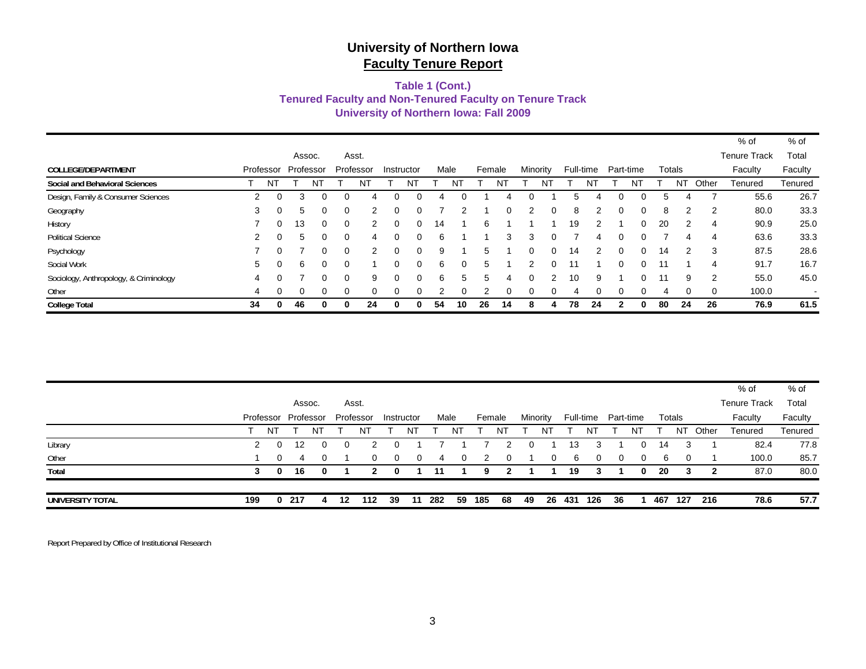#### **Tenured Faculty and Non-Tenured Faculty on Tenure Track University of Northern Iowa: Fall 2009 Table 1 (Cont.)**

|                                        |    |           |           |   |          |           |          |            |      |          |    |          |          |               |    |           |           |    |    |        |       | % of                | $%$ of  |
|----------------------------------------|----|-----------|-----------|---|----------|-----------|----------|------------|------|----------|----|----------|----------|---------------|----|-----------|-----------|----|----|--------|-------|---------------------|---------|
|                                        |    |           | Assoc.    |   |          | Asst.     |          |            |      |          |    |          |          |               |    |           |           |    |    |        |       | <b>Tenure Track</b> | Total   |
| COLLEGE/DEPARTMENT                     |    | Professor | Professor |   |          | Professor |          | Instructor | Male |          |    | Female   | Minority |               |    | Full-time | Part-time |    |    | Totals |       | Faculty             | Faculty |
| Social and Behavioral Sciences         |    | NT        |           |   |          | N.        |          | NĪ         |      |          |    | ΝI       |          | N.            |    |           |           | ΝI |    | NT     | Other | Tenured             | Tenured |
| Design, Family & Consumer Sciences     | 2  | $\Omega$  | 3         |   |          | 4         |          |            |      |          |    |          |          |               |    |           |           | 0  | 5  |        |       | 55.6                | 26.7    |
| Geography                              | 3  |           | 5         |   |          | 2         | ი        |            |      |          |    | 0        | 2        |               | 8  |           |           | 0  | 8  | 2      | 2     | 80.0                | 33.3    |
| History                                |    |           | 13        | 0 |          |           |          | 0          | 14   |          | 6  |          |          |               | 19 | 2         |           | 0  | 20 | 2      | 4     | 90.9                | 25.0    |
| <b>Political Science</b>               | 2  |           | 5         | 0 |          | 4         | O        |            | 6    |          |    | 3        | 3        |               |    |           |           | 0  |    |        | 4     | 63.6                | 33.3    |
| Psychology                             |    | $\Omega$  |           | 0 |          | 2         | 0        |            | 9    |          | 5  |          |          |               | 14 | 2         |           | 0  | 14 | 2      | 3     | 87.5                | 28.6    |
| Social Work                            | 5  |           | 6         | 0 |          |           | 0        | 0          | 6    | 0        | 5  |          |          |               |    |           |           | 0. | 11 |        | 4     | 91.7                | 16.7    |
| Sociology, Anthropology, & Criminology | 4  |           |           | 0 | $\Omega$ | 9         | $\Omega$ | 0          | 6    | 5        | 5  | 4        | $\Omega$ | $\mathcal{P}$ | 10 | 9         |           | 0. | 11 | 9      | 2     | 55.0                | 45.0    |
| Other                                  | 4  |           | $\Omega$  | 0 |          | $\Omega$  | $\Omega$ |            |      | $\Omega$ |    | $\Omega$ | $\Omega$ |               | 4  |           |           | 0  | 4  |        | 0     | 100.0               | $\sim$  |
| <b>College Total</b>                   | 34 |           | 46        | 0 | 0        | 24        | 0        | 0          | 54   | 10       | 26 | 14       | 8        | 4             | 78 | 24        |           | 0  | 80 | 24     | 26    | 76.9                | 61.5    |

| UNIVERSITY TOTAL | 199 | 0            | -217                |              | 12 | 112       | 39         | -11      | 282  | 59       | 185    | 68 | 49       |              | 26 431 | 126       | -36       |    | 467 | 127      | 216   | 78.6                | 57.7    |
|------------------|-----|--------------|---------------------|--------------|----|-----------|------------|----------|------|----------|--------|----|----------|--------------|--------|-----------|-----------|----|-----|----------|-------|---------------------|---------|
| Total            | 3   | $\mathbf{0}$ | 16                  | $\mathbf{0}$ |    | 2         | 0          |          | 11   |          | 9      |    |          |              | 19     |           |           | 0  | 20  | 3        | - 2   | 87.0                | 80.0    |
| Other            |     | $\Omega$     | 4                   | $\Omega$     |    | $\Omega$  | $\Omega$   | $\Omega$ | 4    | $\Omega$ | - 2    |    |          | <sup>0</sup> | 6      | 0         | $\Omega$  | 0  | 6   | $\Omega$ |       | 100.0               | 85.7    |
| Library          | 2   |              | 12                  | 0            |    |           | 0          |          |      |          |        |    |          |              | 13     |           |           | 0. | 14  | 3        |       | 82.4                | 77.8    |
|                  |     | NT.          |                     | NT           |    | ΝĪ        |            | N٦       |      |          |        | N  |          | NT           |        | N1        |           | NT |     | NT       | Other | Tenured             | Tenured |
|                  |     |              | Professor Professor |              |    | Professor | Instructor |          | Male |          | Female |    | Minority |              |        | Full-time | Part-time |    |     | Totals   |       | Faculty             | Faculty |
|                  |     |              |                     | Assoc.       |    | Asst.     |            |          |      |          |        |    |          |              |        |           |           |    |     |          |       | <b>Tenure Track</b> | Total   |
|                  |     |              |                     |              |    |           |            |          |      |          |        |    |          |              |        |           |           |    |     |          |       | $%$ of              | % of    |

Report Prepared by Office of Institutional Research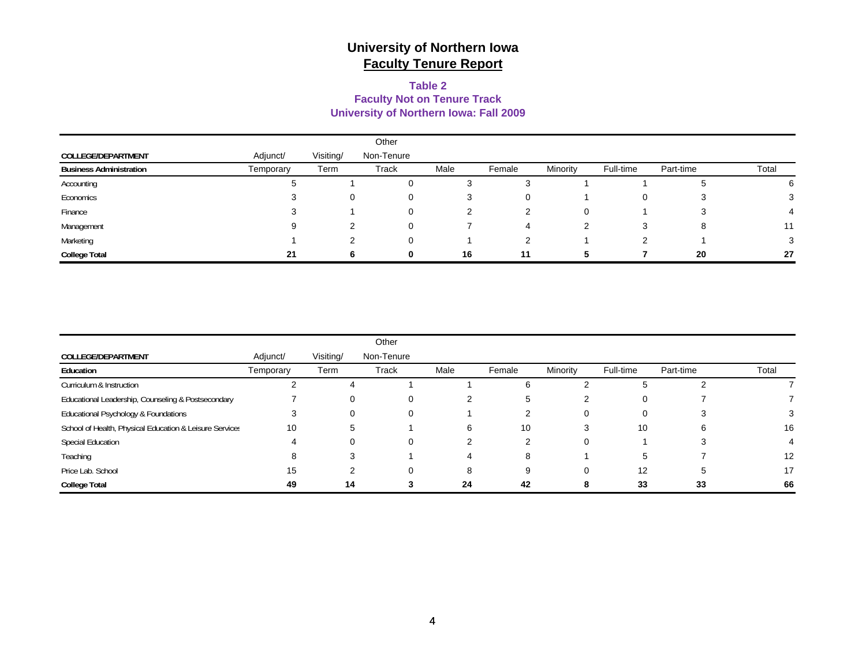#### **Table 2 Faculty Not on Tenure Track University of Northern Iowa: Fall 2009**

|                                |           |           | Other        |      |        |          |           |           |       |
|--------------------------------|-----------|-----------|--------------|------|--------|----------|-----------|-----------|-------|
| COLLEGE/DEPARTMENT             | Adjunct/  | Visiting/ | Non-Tenure   |      |        |          |           |           |       |
| <b>Business Administration</b> | Temporary | Term      | Track        | Male | Female | Minority | Full-time | Part-time | Total |
| Accounting                     |           |           |              | 3    |        |          |           |           | 6     |
| Economics                      |           |           |              | 3    |        |          | 0         |           |       |
| Finance                        |           |           |              |      |        | 0        |           |           |       |
| Management                     | 9         |           |              |      | 4      |          | 3         |           | 11    |
| Marketing                      |           |           | <sup>0</sup> |      |        |          |           |           | 3     |
| <b>College Total</b>           | 21        |           |              | 16   | 11     |          |           | 20        | 27    |

|                                                         |           |           | Other      |      |        |          |           |           |       |
|---------------------------------------------------------|-----------|-----------|------------|------|--------|----------|-----------|-----------|-------|
| <b>COLLEGE/DEPARTMENT</b>                               | Adjunct/  | Visiting/ | Non-Tenure |      |        |          |           |           |       |
| Education                                               | Temporary | Term      | Track      | Male | Female | Minority | Full-time | Part-time | Total |
| Curriculum & Instruction                                |           | 4         |            |      | 6      |          | 5         |           |       |
| Educational Leadership, Counseling & Postsecondary      |           | 0         | 0          |      | G      |          | 0         |           |       |
| Educational Psychology & Foundations                    |           | 0         | 0          |      |        | 0        | 0         |           |       |
| School of Health, Physical Education & Leisure Services | 10        | 5         |            | 6    | 10     | 3        | 10        |           | 16    |
| <b>Special Education</b>                                |           |           | 0          |      | ◠      | 0        |           |           |       |
| Teaching                                                | 8         | 3         |            |      | 8      |          | 5         |           | 12    |
| Price Lab. School                                       | 15        |           | 0          | 8    | 9      | 0        | 12        |           | 17    |
| <b>College Total</b>                                    | 49        | 14        |            | 24   | 42     | ŏ        | 33        | 33        | 66    |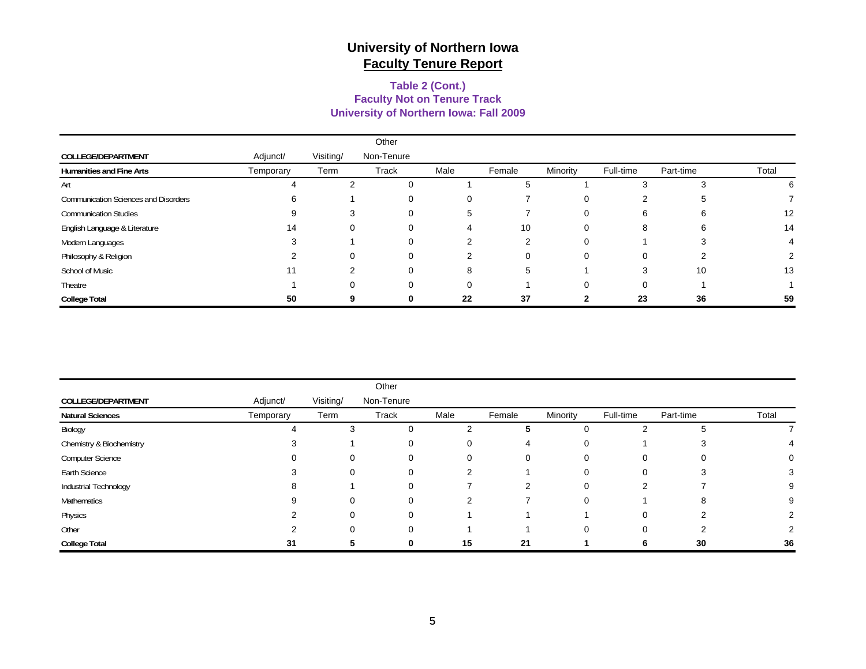#### **University of Northern Iowa: Fall 2009 Faculty Not on Tenure Track Table 2 (Cont.)**

|                                             |           |           | Other      |      |        |          |           |           |       |
|---------------------------------------------|-----------|-----------|------------|------|--------|----------|-----------|-----------|-------|
| COLLEGE/DEPARTMENT                          | Adjunct/  | Visiting/ | Non-Tenure |      |        |          |           |           |       |
| <b>Humanities and Fine Arts</b>             | Temporary | Term      | Track      | Male | Female | Minority | Full-time | Part-time | Total |
| Art                                         |           |           | $\Omega$   |      |        |          |           |           | h     |
| <b>Communication Sciences and Disorders</b> |           |           | 0          |      |        | 0        |           |           |       |
| <b>Communication Studies</b>                |           |           | ∩          | 5    |        | 0        | 6         |           | 12    |
| English Language & Literature               | 14        | 0         | 0          |      | 10     | U        | 8         |           | 14    |
| Modern Languages                            |           |           | 0          |      |        | U        |           |           |       |
| Philosophy & Religion                       |           | $\Omega$  | $\Omega$   | 2    | n      | 0        | 0         |           |       |
| School of Music                             |           |           | 0          | 8    | 5      |          | З         | 10        | 13    |
| Theatre                                     |           |           | U          |      |        |          | 0         |           |       |
| <b>College Total</b>                        | 50        |           |            | 22   | 37     |          | 23        | 36        | 59    |

|                          |           |           | Other        |                |        |          |           |           |       |
|--------------------------|-----------|-----------|--------------|----------------|--------|----------|-----------|-----------|-------|
| COLLEGE/DEPARTMENT       | Adjunct/  | Visiting/ | Non-Tenure   |                |        |          |           |           |       |
| <b>Natural Sciences</b>  | Temporary | Term      | Track        | Male           | Female | Minority | Full-time | Part-time | Total |
| Biology                  |           | 3         | 0            | 2              | 5      | 0        |           |           |       |
| Chemistry & Biochemistry |           |           | 0            | 0              | 4      | 0        |           |           |       |
| <b>Computer Science</b>  |           | 0         | $\Omega$     | 0              | 0      | 0        | 0         | 0         |       |
| Earth Science            |           | 0         | $\Omega$     | $\overline{2}$ |        | 0        | 0         | 3         |       |
| Industrial Technology    |           |           | $\Omega$     |                |        | 0        | ົ         |           |       |
| Mathematics              |           |           | $\Omega$     | 2              |        | 0        |           | 8         |       |
| Physics                  |           | 0         | $\Omega$     |                |        |          | 0         | ⌒         |       |
| Other                    |           | 0         | $\Omega$     |                |        | 0        | 0         | ◠         |       |
| <b>College Total</b>     | 31        |           | <sup>0</sup> | 15             | 21     |          | b         | 30        | 36    |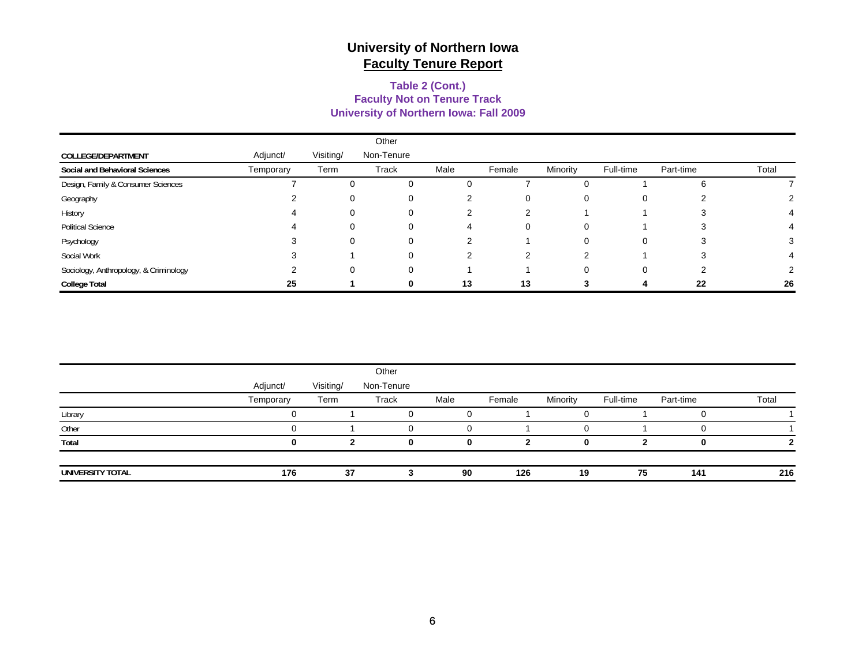#### **Table 2 (Cont.) University of Northern Iowa: Fall 2009 Faculty Not on Tenure Track**

|                                        |           |           | Other      |      |        |          |           |           |       |
|----------------------------------------|-----------|-----------|------------|------|--------|----------|-----------|-----------|-------|
| COLLEGE/DEPARTMENT                     | Adjunct/  | Visiting/ | Non-Tenure |      |        |          |           |           |       |
| Social and Behavioral Sciences         | Temporary | Term      | Track      | Male | Female | Minority | Full-time | Part-time | Total |
| Design, Family & Consumer Sciences     |           | 0         | 0          |      |        |          |           |           |       |
| Geography                              |           | 0         | 0          | 2    | 0      | 0        | O         |           |       |
| History                                |           | 0         | $\Omega$   |      | າ      |          |           |           |       |
| <b>Political Science</b>               |           | 0         | 0          |      | 0      | 0        |           |           |       |
| Psychology                             |           | $\Omega$  | $\Omega$   |      |        | O        | $\Omega$  |           |       |
| Social Work                            |           |           | $\Omega$   | ◠    | ົ      | ⌒        |           |           |       |
| Sociology, Anthropology, & Criminology |           | 0         | $\Omega$   |      |        | ი        | 0         |           |       |
| <b>College Total</b>                   | 25        |           | $\Omega$   | 13   | 13     |          |           | 22        | 26    |

|                  |           |           | Other      |      |        |          |           |           |       |
|------------------|-----------|-----------|------------|------|--------|----------|-----------|-----------|-------|
|                  | Adjunct/  | Visiting/ | Non-Tenure |      |        |          |           |           |       |
|                  | Temporary | Term      | Track      | Male | Female | Minority | Full-time | Part-time | Total |
| Library          |           |           |            |      |        |          |           |           |       |
| Other            |           |           | O          |      |        |          |           |           |       |
| Total            |           |           | o          |      |        | n        |           |           |       |
| UNIVERSITY TOTAL | 176       | 37        |            | 90   | 126    | 19       | 75        | 141       | 216   |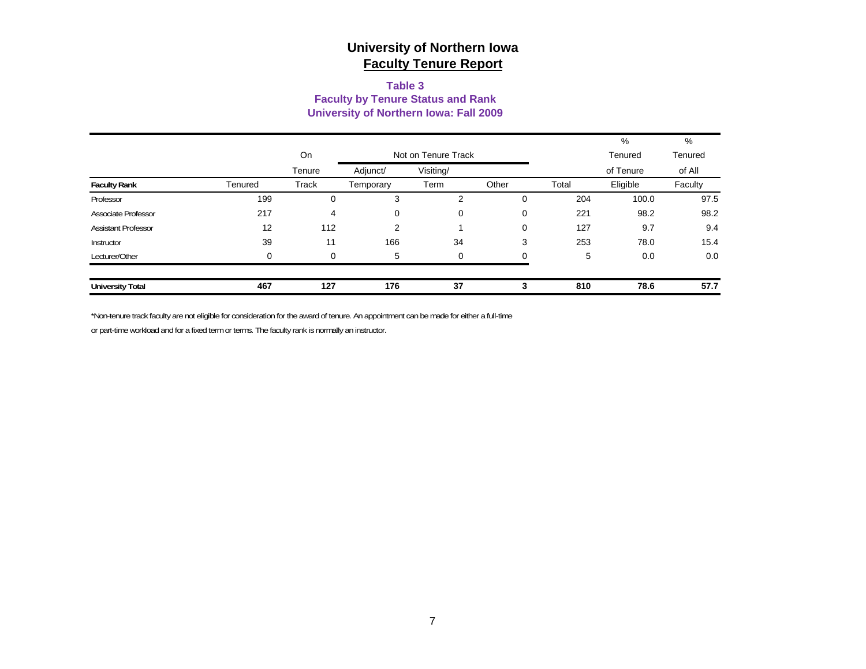#### **Table 3 Faculty by Tenure Status and Rank University of Northern Iowa: Fall 2009**

|                            |          |          |                     |           |             |       | %         | %       |
|----------------------------|----------|----------|---------------------|-----------|-------------|-------|-----------|---------|
|                            |          | On       | Not on Tenure Track |           |             |       | Tenured   | Tenured |
|                            |          | Tenure   | Adjunct/            | Visiting/ |             |       | of Tenure | of All  |
| <b>Faculty Rank</b>        | Tenured  | Track    | Temporary           | Term      | Other       | Total | Eligible  | Faculty |
| Professor                  | 199      | 0        | 3                   | 2         | 0           | 204   | 100.0     | 97.5    |
| Associate Professor        | 217      | 4        | 0                   | 0         | $\mathbf 0$ | 221   | 98.2      | 98.2    |
| <b>Assistant Professor</b> | 12       | 112      | 2                   |           | $\mathbf 0$ | 127   | 9.7       | 9.4     |
| Instructor                 | 39       | 11       | 166                 | 34        | 3           | 253   | 78.0      | 15.4    |
| Lecturer/Other             | $\Omega$ | $\Omega$ | 5                   | 0         |             | 5     | 0.0       | 0.0     |
| <b>University Total</b>    | 467      | 127      | 176                 | 37        | 3           | 810   | 78.6      | 57.7    |

\*Non-tenure track faculty are not eligible for consideration for the award of tenure. An appointment can be made for either a full-time

or part-time workload and for a fixed term or terms. The faculty rank is normally an instructor.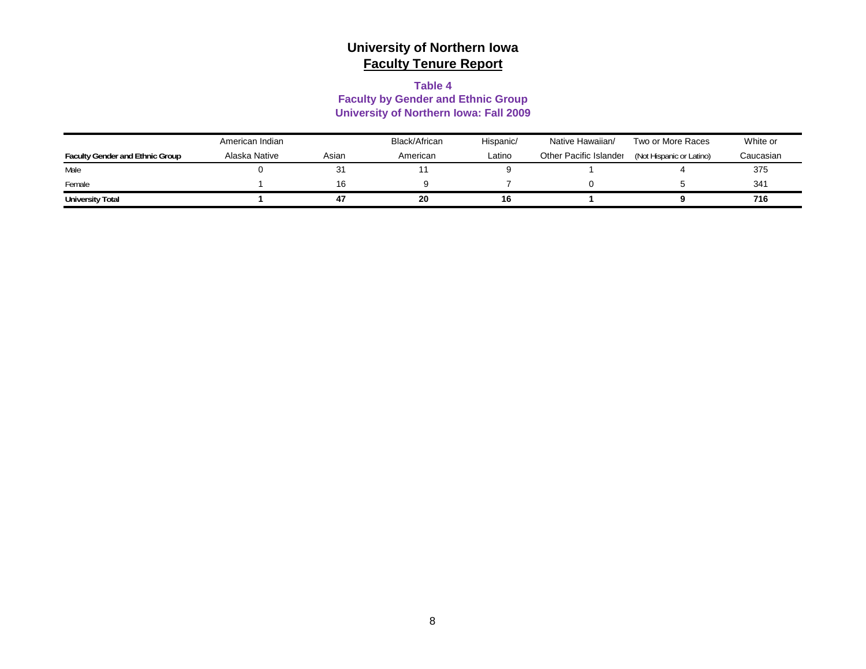#### **Table 4**

#### **Faculty by Gender and Ethnic Group University of Northern Iowa: Fall 2009**

|                                        | American Indian |       | Black/African | Hispanic/ | Native Hawaiian/       | Two or More Races        | White or  |
|----------------------------------------|-----------------|-------|---------------|-----------|------------------------|--------------------------|-----------|
| <b>Faculty Gender and Ethnic Group</b> | Alaska Native   | Asian | American      | Latino    | Other Pacific Islander | (Not Hispanic or Latino) | Caucasian |
| Male                                   |                 | 31    |               |           |                        |                          | 375       |
| Female                                 |                 | 16    |               |           |                        |                          | 341       |
| <b>University Total</b>                |                 | 47    | 20            | 16        |                        |                          | 716       |